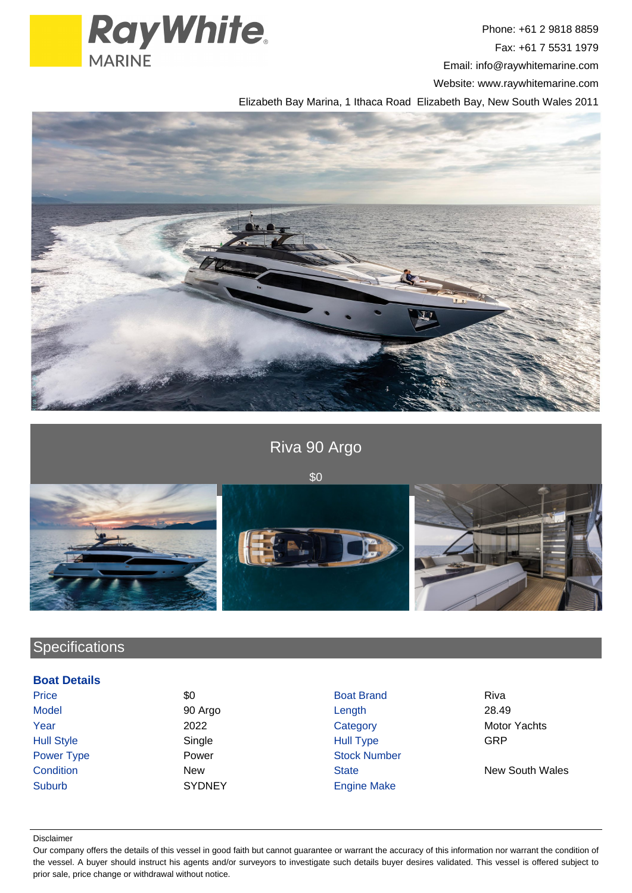

Phone: +61 2 9818 8859 Fax: +61 7 5531 1979 Email: info@raywhitemarine.com Website: www.raywhitemarine.com

Elizabeth Bay Marina, 1 Ithaca Road Elizabeth Bay, New South Wales 2011





# **Specifications**

### **Boat Details**

| Price             |
|-------------------|
| Model             |
| Year              |
| <b>Hull Style</b> |
| <b>Power Type</b> |
| Condition         |
| Suburb            |

**Price 30 Boat Brand Riva** Boat Brand Riva Model 90 Argo Length 28.49 2022 Category Category Motor Yachts Hull Style Single Hull Type GRP Power **Number** Stock Number New New State New South Wales SYDNEY Engine Make

#### Disclaimer

Our company offers the details of this vessel in good faith but cannot guarantee or warrant the accuracy of this information nor warrant the condition of the vessel. A buyer should instruct his agents and/or surveyors to investigate such details buyer desires validated. This vessel is offered subject to prior sale, price change or withdrawal without notice.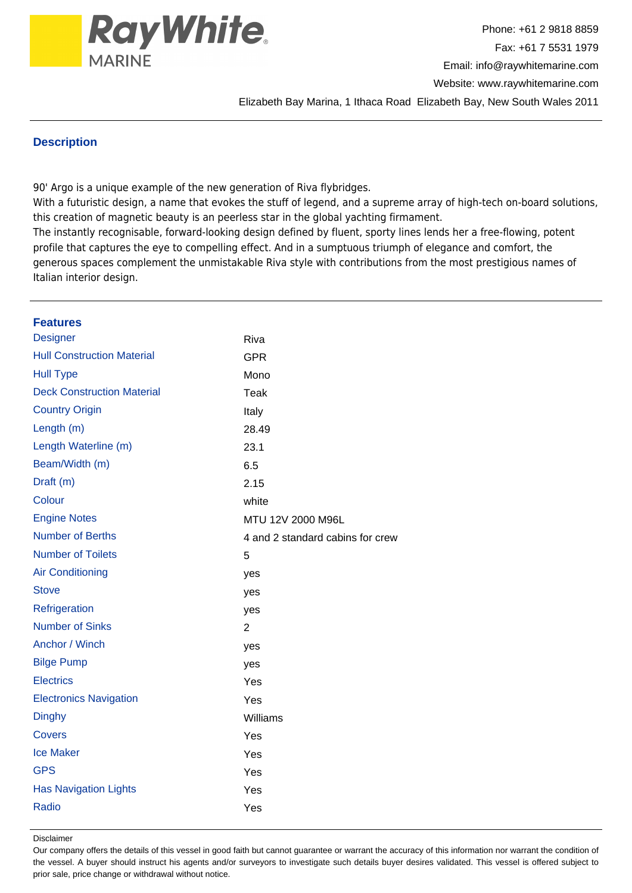

Website: www.raywhitemarine.com

Elizabeth Bay Marina, 1 Ithaca Road Elizabeth Bay, New South Wales 2011

### **Description**

90' Argo is a unique example of the new generation of Riva flybridges.

With a futuristic design, a name that evokes the stuff of legend, and a supreme array of high-tech on-board solutions, this creation of magnetic beauty is an peerless star in the global yachting firmament.

The instantly recognisable, forward-looking design defined by fluent, sporty lines lends her a free-flowing, potent profile that captures the eye to compelling effect. And in a sumptuous triumph of elegance and comfort, the generous spaces complement the unmistakable Riva style with contributions from the most prestigious names of Italian interior design.

| <b>Features</b>                   |                                  |
|-----------------------------------|----------------------------------|
| <b>Designer</b>                   | Riva                             |
| <b>Hull Construction Material</b> | <b>GPR</b>                       |
| <b>Hull Type</b>                  | Mono                             |
| <b>Deck Construction Material</b> | Teak                             |
| <b>Country Origin</b>             | Italy                            |
| Length (m)                        | 28.49                            |
| Length Waterline (m)              | 23.1                             |
| Beam/Width (m)                    | 6.5                              |
| Draft (m)                         | 2.15                             |
| Colour                            | white                            |
| <b>Engine Notes</b>               | MTU 12V 2000 M96L                |
| <b>Number of Berths</b>           | 4 and 2 standard cabins for crew |
| <b>Number of Toilets</b>          | 5                                |
| <b>Air Conditioning</b>           | yes                              |
| <b>Stove</b>                      | yes                              |
| Refrigeration                     | yes                              |
| <b>Number of Sinks</b>            | $\overline{2}$                   |
| Anchor / Winch                    | yes                              |
| <b>Bilge Pump</b>                 | yes                              |
| <b>Electrics</b>                  | Yes                              |
| <b>Electronics Navigation</b>     | Yes                              |
| <b>Dinghy</b>                     | Williams                         |
| <b>Covers</b>                     | Yes                              |
| <b>Ice Maker</b>                  | Yes                              |
| <b>GPS</b>                        | Yes                              |
| <b>Has Navigation Lights</b>      | Yes                              |
| Radio                             | Yes                              |
|                                   |                                  |

Disclaimer

Our company offers the details of this vessel in good faith but cannot guarantee or warrant the accuracy of this information nor warrant the condition of the vessel. A buyer should instruct his agents and/or surveyors to investigate such details buyer desires validated. This vessel is offered subject to prior sale, price change or withdrawal without notice.